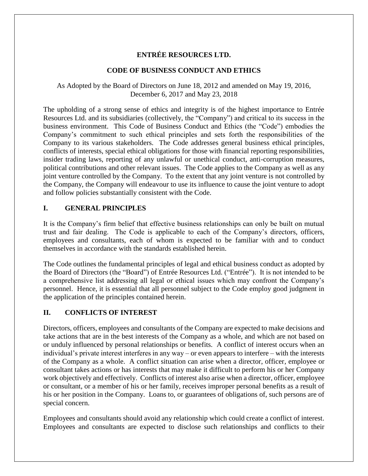# **ENTRÉE RESOURCES LTD.**

### **CODE OF BUSINESS CONDUCT AND ETHICS**

### As Adopted by the Board of Directors on June 18, 2012 and amended on May 19, 2016, December 6, 2017 and May 23, 2018

The upholding of a strong sense of ethics and integrity is of the highest importance to Entrée Resources Ltd. and its subsidiaries (collectively, the "Company") and critical to its success in the business environment. This Code of Business Conduct and Ethics (the "Code") embodies the Company's commitment to such ethical principles and sets forth the responsibilities of the Company to its various stakeholders. The Code addresses general business ethical principles, conflicts of interests, special ethical obligations for those with financial reporting responsibilities, insider trading laws, reporting of any unlawful or unethical conduct, anti-corruption measures, political contributions and other relevant issues. The Code applies to the Company as well as any joint venture controlled by the Company. To the extent that any joint venture is not controlled by the Company, the Company will endeavour to use its influence to cause the joint venture to adopt and follow policies substantially consistent with the Code.

### **I. GENERAL PRINCIPLES**

It is the Company's firm belief that effective business relationships can only be built on mutual trust and fair dealing. The Code is applicable to each of the Company's directors, officers, employees and consultants, each of whom is expected to be familiar with and to conduct themselves in accordance with the standards established herein.

The Code outlines the fundamental principles of legal and ethical business conduct as adopted by the Board of Directors (the "Board") of Entrée Resources Ltd. ("Entrée"). It is not intended to be a comprehensive list addressing all legal or ethical issues which may confront the Company's personnel. Hence, it is essential that all personnel subject to the Code employ good judgment in the application of the principles contained herein.

# **II. CONFLICTS OF INTEREST**

Directors, officers, employees and consultants of the Company are expected to make decisions and take actions that are in the best interests of the Company as a whole, and which are not based on or unduly influenced by personal relationships or benefits. A conflict of interest occurs when an individual's private interest interferes in any way – or even appears to interfere – with the interests of the Company as a whole. A conflict situation can arise when a director, officer, employee or consultant takes actions or has interests that may make it difficult to perform his or her Company work objectively and effectively. Conflicts of interest also arise when a director, officer, employee or consultant, or a member of his or her family, receives improper personal benefits as a result of his or her position in the Company. Loans to, or guarantees of obligations of, such persons are of special concern.

Employees and consultants should avoid any relationship which could create a conflict of interest. Employees and consultants are expected to disclose such relationships and conflicts to their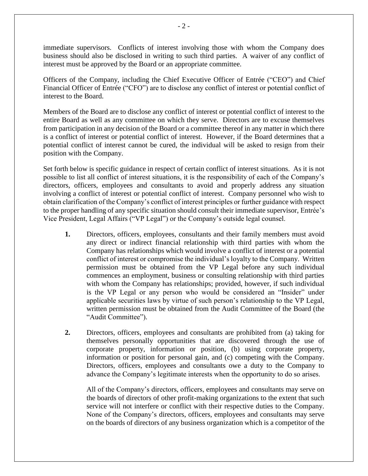immediate supervisors. Conflicts of interest involving those with whom the Company does business should also be disclosed in writing to such third parties. A waiver of any conflict of interest must be approved by the Board or an appropriate committee.

Officers of the Company, including the Chief Executive Officer of Entrée ("CEO") and Chief Financial Officer of Entrée ("CFO") are to disclose any conflict of interest or potential conflict of interest to the Board.

Members of the Board are to disclose any conflict of interest or potential conflict of interest to the entire Board as well as any committee on which they serve. Directors are to excuse themselves from participation in any decision of the Board or a committee thereof in any matter in which there is a conflict of interest or potential conflict of interest. However, if the Board determines that a potential conflict of interest cannot be cured, the individual will be asked to resign from their position with the Company.

Set forth below is specific guidance in respect of certain conflict of interest situations. As it is not possible to list all conflict of interest situations, it is the responsibility of each of the Company's directors, officers, employees and consultants to avoid and properly address any situation involving a conflict of interest or potential conflict of interest. Company personnel who wish to obtain clarification of the Company's conflict of interest principles or further guidance with respect to the proper handling of any specific situation should consult their immediate supervisor, Entrée's Vice President, Legal Affairs ("VP Legal") or the Company's outside legal counsel.

- **1.** Directors, officers, employees, consultants and their family members must avoid any direct or indirect financial relationship with third parties with whom the Company has relationships which would involve a conflict of interest or a potential conflict of interest or compromise the individual's loyalty to the Company. Written permission must be obtained from the VP Legal before any such individual commences an employment, business or consulting relationship with third parties with whom the Company has relationships; provided, however, if such individual is the VP Legal or any person who would be considered an "Insider" under applicable securities laws by virtue of such person's relationship to the VP Legal, written permission must be obtained from the Audit Committee of the Board (the "Audit Committee").
- **2.** Directors, officers, employees and consultants are prohibited from (a) taking for themselves personally opportunities that are discovered through the use of corporate property, information or position, (b) using corporate property, information or position for personal gain, and (c) competing with the Company. Directors, officers, employees and consultants owe a duty to the Company to advance the Company's legitimate interests when the opportunity to do so arises.

All of the Company's directors, officers, employees and consultants may serve on the boards of directors of other profit-making organizations to the extent that such service will not interfere or conflict with their respective duties to the Company. None of the Company's directors, officers, employees and consultants may serve on the boards of directors of any business organization which is a competitor of the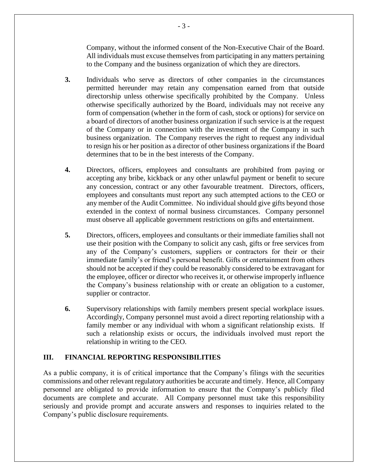Company, without the informed consent of the Non-Executive Chair of the Board. All individuals must excuse themselves from participating in any matters pertaining to the Company and the business organization of which they are directors.

- **3.** Individuals who serve as directors of other companies in the circumstances permitted hereunder may retain any compensation earned from that outside directorship unless otherwise specifically prohibited by the Company. Unless otherwise specifically authorized by the Board, individuals may not receive any form of compensation (whether in the form of cash, stock or options) for service on a board of directors of another business organization if such service is at the request of the Company or in connection with the investment of the Company in such business organization. The Company reserves the right to request any individual to resign his or her position as a director of other business organizations if the Board determines that to be in the best interests of the Company.
- **4.** Directors, officers, employees and consultants are prohibited from paying or accepting any bribe, kickback or any other unlawful payment or benefit to secure any concession, contract or any other favourable treatment. Directors, officers, employees and consultants must report any such attempted actions to the CEO or any member of the Audit Committee. No individual should give gifts beyond those extended in the context of normal business circumstances. Company personnel must observe all applicable government restrictions on gifts and entertainment.
- **5.** Directors, officers, employees and consultants or their immediate families shall not use their position with the Company to solicit any cash, gifts or free services from any of the Company's customers, suppliers or contractors for their or their immediate family's or friend's personal benefit. Gifts or entertainment from others should not be accepted if they could be reasonably considered to be extravagant for the employee, officer or director who receives it, or otherwise improperly influence the Company's business relationship with or create an obligation to a customer, supplier or contractor.
- **6.** Supervisory relationships with family members present special workplace issues. Accordingly, Company personnel must avoid a direct reporting relationship with a family member or any individual with whom a significant relationship exists. If such a relationship exists or occurs, the individuals involved must report the relationship in writing to the CEO.

### **III. FINANCIAL REPORTING RESPONSIBILITIES**

As a public company, it is of critical importance that the Company's filings with the securities commissions and other relevant regulatory authorities be accurate and timely. Hence, all Company personnel are obligated to provide information to ensure that the Company's publicly filed documents are complete and accurate. All Company personnel must take this responsibility seriously and provide prompt and accurate answers and responses to inquiries related to the Company's public disclosure requirements.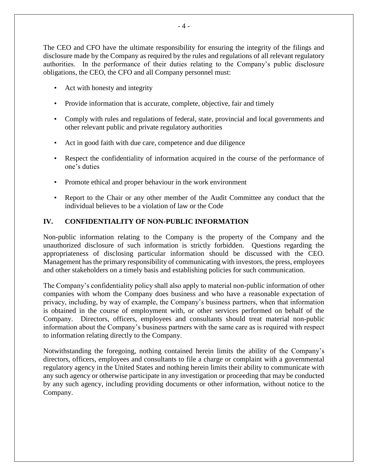The CEO and CFO have the ultimate responsibility for ensuring the integrity of the filings and disclosure made by the Company as required by the rules and regulations of all relevant regulatory authorities. In the performance of their duties relating to the Company's public disclosure obligations, the CEO, the CFO and all Company personnel must:

- Act with honesty and integrity
- Provide information that is accurate, complete, objective, fair and timely
- Comply with rules and regulations of federal, state, provincial and local governments and other relevant public and private regulatory authorities
- Act in good faith with due care, competence and due diligence
- Respect the confidentiality of information acquired in the course of the performance of one's duties
- Promote ethical and proper behaviour in the work environment
- Report to the Chair or any other member of the Audit Committee any conduct that the individual believes to be a violation of law or the Code

### **IV. CONFIDENTIALITY OF NON-PUBLIC INFORMATION**

Non-public information relating to the Company is the property of the Company and the unauthorized disclosure of such information is strictly forbidden. Questions regarding the appropriateness of disclosing particular information should be discussed with the CEO. Management has the primary responsibility of communicating with investors, the press, employees and other stakeholders on a timely basis and establishing policies for such communication.

The Company's confidentiality policy shall also apply to material non-public information of other companies with whom the Company does business and who have a reasonable expectation of privacy, including, by way of example, the Company's business partners, when that information is obtained in the course of employment with, or other services performed on behalf of the Company. Directors, officers, employees and consultants should treat material non-public information about the Company's business partners with the same care as is required with respect to information relating directly to the Company.

Notwithstanding the foregoing, nothing contained herein limits the ability of the Company's directors, officers, employees and consultants to file a charge or complaint with a governmental regulatory agency in the United States and nothing herein limits their ability to communicate with any such agency or otherwise participate in any investigation or proceeding that may be conducted by any such agency, including providing documents or other information, without notice to the Company.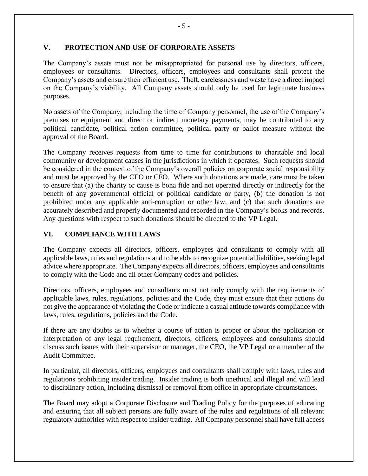### **V. PROTECTION AND USE OF CORPORATE ASSETS**

The Company's assets must not be misappropriated for personal use by directors, officers, employees or consultants. Directors, officers, employees and consultants shall protect the Company's assets and ensure their efficient use. Theft, carelessness and waste have a direct impact on the Company's viability. All Company assets should only be used for legitimate business purposes.

No assets of the Company, including the time of Company personnel, the use of the Company's premises or equipment and direct or indirect monetary payments, may be contributed to any political candidate, political action committee, political party or ballot measure without the approval of the Board.

The Company receives requests from time to time for contributions to charitable and local community or development causes in the jurisdictions in which it operates. Such requests should be considered in the context of the Company's overall policies on corporate social responsibility and must be approved by the CEO or CFO. Where such donations are made, care must be taken to ensure that (a) the charity or cause is bona fide and not operated directly or indirectly for the benefit of any governmental official or political candidate or party, (b) the donation is not prohibited under any applicable anti-corruption or other law, and (c) that such donations are accurately described and properly documented and recorded in the Company's books and records. Any questions with respect to such donations should be directed to the VP Legal.

# **VI. COMPLIANCE WITH LAWS**

The Company expects all directors, officers, employees and consultants to comply with all applicable laws, rules and regulations and to be able to recognize potential liabilities, seeking legal advice where appropriate. The Company expects all directors, officers, employees and consultants to comply with the Code and all other Company codes and policies.

Directors, officers, employees and consultants must not only comply with the requirements of applicable laws, rules, regulations, policies and the Code, they must ensure that their actions do not give the appearance of violating the Code or indicate a casual attitude towards compliance with laws, rules, regulations, policies and the Code.

If there are any doubts as to whether a course of action is proper or about the application or interpretation of any legal requirement, directors, officers, employees and consultants should discuss such issues with their supervisor or manager, the CEO, the VP Legal or a member of the Audit Committee.

In particular, all directors, officers, employees and consultants shall comply with laws, rules and regulations prohibiting insider trading. Insider trading is both unethical and illegal and will lead to disciplinary action, including dismissal or removal from office in appropriate circumstances.

The Board may adopt a Corporate Disclosure and Trading Policy for the purposes of educating and ensuring that all subject persons are fully aware of the rules and regulations of all relevant regulatory authorities with respect to insider trading. All Company personnel shall have full access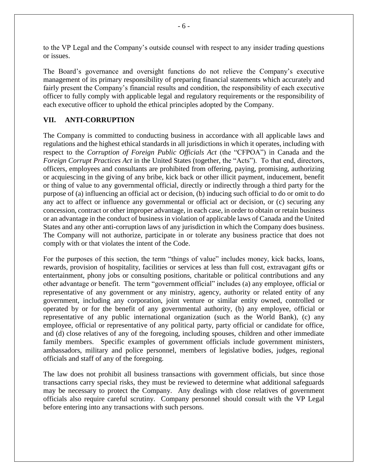to the VP Legal and the Company's outside counsel with respect to any insider trading questions or issues.

The Board's governance and oversight functions do not relieve the Company's executive management of its primary responsibility of preparing financial statements which accurately and fairly present the Company's financial results and condition, the responsibility of each executive officer to fully comply with applicable legal and regulatory requirements or the responsibility of each executive officer to uphold the ethical principles adopted by the Company.

### **VII. ANTI-CORRUPTION**

The Company is committed to conducting business in accordance with all applicable laws and regulations and the highest ethical standards in all jurisdictions in which it operates, including with respect to the *Corruption of Foreign Public Officials Act* (the "CFPOA") in Canada and the *Foreign Corrupt Practices Act* in the United States (together, the "Acts"). To that end, directors, officers, employees and consultants are prohibited from offering, paying, promising, authorizing or acquiescing in the giving of any bribe, kick back or other illicit payment, inducement, benefit or thing of value to any governmental official, directly or indirectly through a third party for the purpose of (a) influencing an official act or decision, (b) inducing such official to do or omit to do any act to affect or influence any governmental or official act or decision, or (c) securing any concession, contract or other improper advantage, in each case, in order to obtain or retain business or an advantage in the conduct of business in violation of applicable laws of Canada and the United States and any other anti-corruption laws of any jurisdiction in which the Company does business. The Company will not authorize, participate in or tolerate any business practice that does not comply with or that violates the intent of the Code.

For the purposes of this section, the term "things of value" includes money, kick backs, loans, rewards, provision of hospitality, facilities or services at less than full cost, extravagant gifts or entertainment, phony jobs or consulting positions, charitable or political contributions and any other advantage or benefit. The term "government official" includes (a) any employee, official or representative of any government or any ministry, agency, authority or related entity of any government, including any corporation, joint venture or similar entity owned, controlled or operated by or for the benefit of any governmental authority, (b) any employee, official or representative of any public international organization (such as the World Bank), (c) any employee, official or representative of any political party, party official or candidate for office, and (d) close relatives of any of the foregoing, including spouses, children and other immediate family members. Specific examples of government officials include government ministers, ambassadors, military and police personnel, members of legislative bodies, judges, regional officials and staff of any of the foregoing.

The law does not prohibit all business transactions with government officials, but since those transactions carry special risks, they must be reviewed to determine what additional safeguards may be necessary to protect the Company. Any dealings with close relatives of government officials also require careful scrutiny. Company personnel should consult with the VP Legal before entering into any transactions with such persons.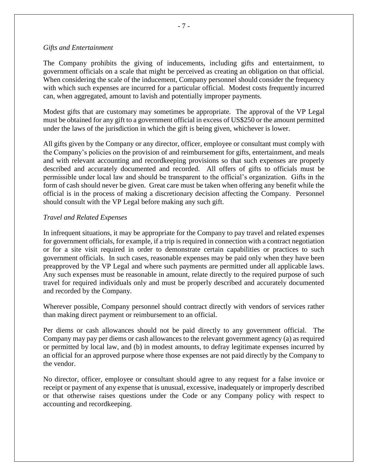#### *Gifts and Entertainment*

The Company prohibits the giving of inducements, including gifts and entertainment, to government officials on a scale that might be perceived as creating an obligation on that official. When considering the scale of the inducement, Company personnel should consider the frequency with which such expenses are incurred for a particular official. Modest costs frequently incurred can, when aggregated, amount to lavish and potentially improper payments.

Modest gifts that are customary may sometimes be appropriate. The approval of the VP Legal must be obtained for any gift to a government official in excess of US\$250 or the amount permitted under the laws of the jurisdiction in which the gift is being given, whichever is lower.

All gifts given by the Company or any director, officer, employee or consultant must comply with the Company's policies on the provision of and reimbursement for gifts, entertainment, and meals and with relevant accounting and recordkeeping provisions so that such expenses are properly described and accurately documented and recorded. All offers of gifts to officials must be permissible under local law and should be transparent to the official's organization. Gifts in the form of cash should never be given. Great care must be taken when offering any benefit while the official is in the process of making a discretionary decision affecting the Company. Personnel should consult with the VP Legal before making any such gift.

#### *Travel and Related Expenses*

In infrequent situations, it may be appropriate for the Company to pay travel and related expenses for government officials, for example, if a trip is required in connection with a contract negotiation or for a site visit required in order to demonstrate certain capabilities or practices to such government officials. In such cases, reasonable expenses may be paid only when they have been preapproved by the VP Legal and where such payments are permitted under all applicable laws. Any such expenses must be reasonable in amount, relate directly to the required purpose of such travel for required individuals only and must be properly described and accurately documented and recorded by the Company.

Wherever possible, Company personnel should contract directly with vendors of services rather than making direct payment or reimbursement to an official.

Per diems or cash allowances should not be paid directly to any government official. The Company may pay per diems or cash allowances to the relevant government agency (a) as required or permitted by local law, and (b) in modest amounts, to defray legitimate expenses incurred by an official for an approved purpose where those expenses are not paid directly by the Company to the vendor.

No director, officer, employee or consultant should agree to any request for a false invoice or receipt or payment of any expense that is unusual, excessive, inadequately or improperly described or that otherwise raises questions under the Code or any Company policy with respect to accounting and recordkeeping.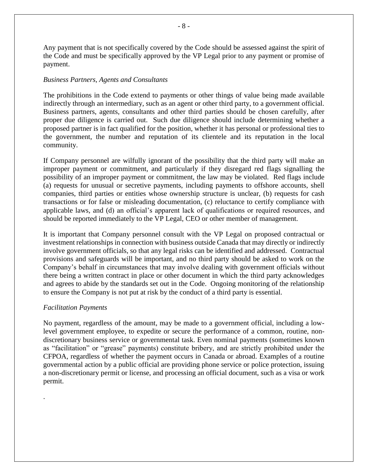Any payment that is not specifically covered by the Code should be assessed against the spirit of the Code and must be specifically approved by the VP Legal prior to any payment or promise of payment.

#### *Business Partners, Agents and Consultants*

The prohibitions in the Code extend to payments or other things of value being made available indirectly through an intermediary, such as an agent or other third party, to a government official. Business partners, agents, consultants and other third parties should be chosen carefully, after proper due diligence is carried out. Such due diligence should include determining whether a proposed partner is in fact qualified for the position, whether it has personal or professional ties to the government, the number and reputation of its clientele and its reputation in the local community.

If Company personnel are wilfully ignorant of the possibility that the third party will make an improper payment or commitment, and particularly if they disregard red flags signalling the possibility of an improper payment or commitment, the law may be violated. Red flags include (a) requests for unusual or secretive payments, including payments to offshore accounts, shell companies, third parties or entities whose ownership structure is unclear, (b) requests for cash transactions or for false or misleading documentation, (c) reluctance to certify compliance with applicable laws, and (d) an official's apparent lack of qualifications or required resources, and should be reported immediately to the VP Legal, CEO or other member of management.

It is important that Company personnel consult with the VP Legal on proposed contractual or investment relationships in connection with business outside Canada that may directly or indirectly involve government officials, so that any legal risks can be identified and addressed. Contractual provisions and safeguards will be important, and no third party should be asked to work on the Company's behalf in circumstances that may involve dealing with government officials without there being a written contract in place or other document in which the third party acknowledges and agrees to abide by the standards set out in the Code. Ongoing monitoring of the relationship to ensure the Company is not put at risk by the conduct of a third party is essential.

### *Facilitation Payments*

.

No payment, regardless of the amount, may be made to a government official, including a lowlevel government employee, to expedite or secure the performance of a common, routine, nondiscretionary business service or governmental task. Even nominal payments (sometimes known as "facilitation" or "grease" payments) constitute bribery, and are strictly prohibited under the CFPOA, regardless of whether the payment occurs in Canada or abroad. Examples of a routine governmental action by a public official are providing phone service or police protection, issuing a non-discretionary permit or license, and processing an official document, such as a visa or work permit.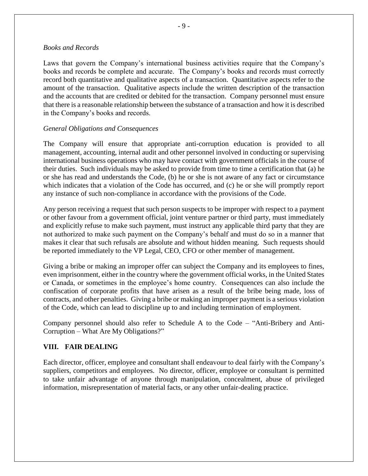#### *Books and Records*

Laws that govern the Company's international business activities require that the Company's books and records be complete and accurate. The Company's books and records must correctly record both quantitative and qualitative aspects of a transaction. Quantitative aspects refer to the amount of the transaction. Qualitative aspects include the written description of the transaction and the accounts that are credited or debited for the transaction. Company personnel must ensure that there is a reasonable relationship between the substance of a transaction and how it is described in the Company's books and records.

#### *General Obligations and Consequences*

The Company will ensure that appropriate anti-corruption education is provided to all management, accounting, internal audit and other personnel involved in conducting or supervising international business operations who may have contact with government officials in the course of their duties. Such individuals may be asked to provide from time to time a certification that (a) he or she has read and understands the Code, (b) he or she is not aware of any fact or circumstance which indicates that a violation of the Code has occurred, and (c) he or she will promptly report any instance of such non-compliance in accordance with the provisions of the Code.

Any person receiving a request that such person suspects to be improper with respect to a payment or other favour from a government official, joint venture partner or third party, must immediately and explicitly refuse to make such payment, must instruct any applicable third party that they are not authorized to make such payment on the Company's behalf and must do so in a manner that makes it clear that such refusals are absolute and without hidden meaning. Such requests should be reported immediately to the VP Legal, CEO, CFO or other member of management.

Giving a bribe or making an improper offer can subject the Company and its employees to fines, even imprisonment, either in the country where the government official works, in the United States or Canada, or sometimes in the employee's home country. Consequences can also include the confiscation of corporate profits that have arisen as a result of the bribe being made, loss of contracts, and other penalties. Giving a bribe or making an improper payment is a serious violation of the Code, which can lead to discipline up to and including termination of employment.

Company personnel should also refer to Schedule A to the Code – "Anti-Bribery and Anti-Corruption – What Are My Obligations?"

### **VIII. FAIR DEALING**

Each director, officer, employee and consultant shall endeavour to deal fairly with the Company's suppliers, competitors and employees. No director, officer, employee or consultant is permitted to take unfair advantage of anyone through manipulation, concealment, abuse of privileged information, misrepresentation of material facts, or any other unfair-dealing practice.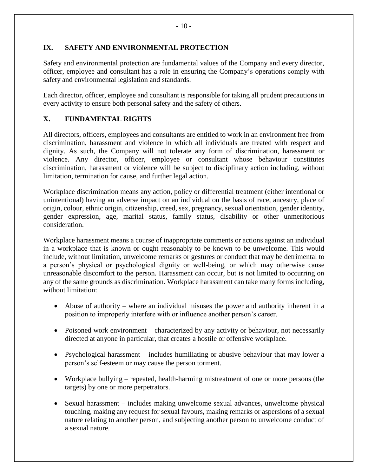# **IX. SAFETY AND ENVIRONMENTAL PROTECTION**

Safety and environmental protection are fundamental values of the Company and every director, officer, employee and consultant has a role in ensuring the Company's operations comply with safety and environmental legislation and standards.

Each director, officer, employee and consultant is responsible for taking all prudent precautions in every activity to ensure both personal safety and the safety of others.

# **X. FUNDAMENTAL RIGHTS**

All directors, officers, employees and consultants are entitled to work in an environment free from discrimination, harassment and violence in which all individuals are treated with respect and dignity. As such, the Company will not tolerate any form of discrimination, harassment or violence. Any director, officer, employee or consultant whose behaviour constitutes discrimination, harassment or violence will be subject to disciplinary action including, without limitation, termination for cause, and further legal action.

Workplace discrimination means any action, policy or differential treatment (either intentional or unintentional) having an adverse impact on an individual on the basis of race, ancestry, place of origin, colour, ethnic origin, citizenship, creed, sex, pregnancy, sexual orientation, gender identity, gender expression, age, marital status, family status, disability or other unmeritorious consideration.

Workplace harassment means a course of inappropriate comments or actions against an individual in a workplace that is known or ought reasonably to be known to be unwelcome. This would include, without limitation, unwelcome remarks or gestures or conduct that may be detrimental to a person's physical or psychological dignity or well-being, or which may otherwise cause unreasonable discomfort to the person. Harassment can occur, but is not limited to occurring on any of the same grounds as discrimination. Workplace harassment can take many forms including, without limitation:

- Abuse of authority where an individual misuses the power and authority inherent in a position to improperly interfere with or influence another person's career.
- Poisoned work environment characterized by any activity or behaviour, not necessarily directed at anyone in particular, that creates a hostile or offensive workplace.
- Psychological harassment includes humiliating or abusive behaviour that may lower a person's self-esteem or may cause the person torment.
- Workplace bullying repeated, health-harming mistreatment of one or more persons (the targets) by one or more perpetrators.
- Sexual harassment includes making unwelcome sexual advances, unwelcome physical touching, making any request for sexual favours, making remarks or aspersions of a sexual nature relating to another person, and subjecting another person to unwelcome conduct of a sexual nature.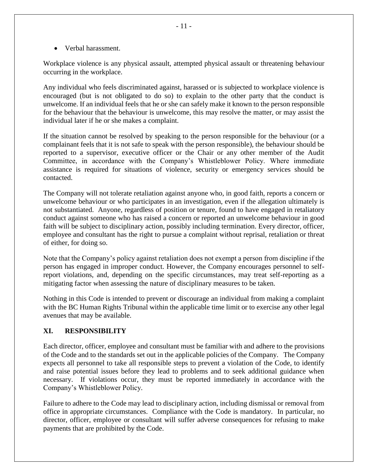• Verbal harassment.

Workplace violence is any physical assault, attempted physical assault or threatening behaviour occurring in the workplace.

Any individual who feels discriminated against, harassed or is subjected to workplace violence is encouraged (but is not obligated to do so) to explain to the other party that the conduct is unwelcome. If an individual feels that he or she can safely make it known to the person responsible for the behaviour that the behaviour is unwelcome, this may resolve the matter, or may assist the individual later if he or she makes a complaint.

If the situation cannot be resolved by speaking to the person responsible for the behaviour (or a complainant feels that it is not safe to speak with the person responsible), the behaviour should be reported to a supervisor, executive officer or the Chair or any other member of the Audit Committee, in accordance with the Company's Whistleblower Policy. Where immediate assistance is required for situations of violence, security or emergency services should be contacted.

The Company will not tolerate retaliation against anyone who, in good faith, reports a concern or unwelcome behaviour or who participates in an investigation, even if the allegation ultimately is not substantiated. Anyone, regardless of position or tenure, found to have engaged in retaliatory conduct against someone who has raised a concern or reported an unwelcome behaviour in good faith will be subject to disciplinary action, possibly including termination. Every director, officer, employee and consultant has the right to pursue a complaint without reprisal, retaliation or threat of either, for doing so.

Note that the Company's policy against retaliation does not exempt a person from discipline if the person has engaged in improper conduct. However, the Company encourages personnel to selfreport violations, and, depending on the specific circumstances, may treat self-reporting as a mitigating factor when assessing the nature of disciplinary measures to be taken.

Nothing in this Code is intended to prevent or discourage an individual from making a complaint with the BC Human Rights Tribunal within the applicable time limit or to exercise any other legal avenues that may be available.

# **XI. RESPONSIBILITY**

Each director, officer, employee and consultant must be familiar with and adhere to the provisions of the Code and to the standards set out in the applicable policies of the Company. The Company expects all personnel to take all responsible steps to prevent a violation of the Code, to identify and raise potential issues before they lead to problems and to seek additional guidance when necessary. If violations occur, they must be reported immediately in accordance with the Company's Whistleblower Policy.

Failure to adhere to the Code may lead to disciplinary action, including dismissal or removal from office in appropriate circumstances. Compliance with the Code is mandatory. In particular, no director, officer, employee or consultant will suffer adverse consequences for refusing to make payments that are prohibited by the Code.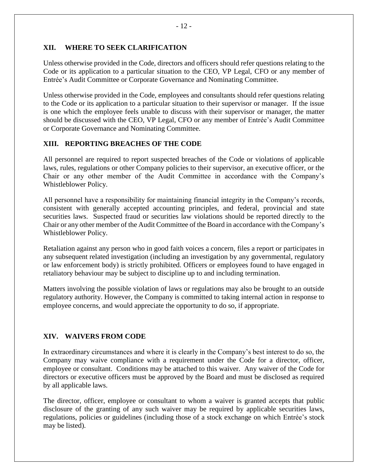### **XII. WHERE TO SEEK CLARIFICATION**

Unless otherwise provided in the Code, directors and officers should refer questions relating to the Code or its application to a particular situation to the CEO, VP Legal, CFO or any member of Entrée's Audit Committee or Corporate Governance and Nominating Committee.

Unless otherwise provided in the Code, employees and consultants should refer questions relating to the Code or its application to a particular situation to their supervisor or manager. If the issue is one which the employee feels unable to discuss with their supervisor or manager, the matter should be discussed with the CEO, VP Legal, CFO or any member of Entrée's Audit Committee or Corporate Governance and Nominating Committee.

# **XIII. REPORTING BREACHES OF THE CODE**

All personnel are required to report suspected breaches of the Code or violations of applicable laws, rules, regulations or other Company policies to their supervisor, an executive officer, or the Chair or any other member of the Audit Committee in accordance with the Company's Whistleblower Policy.

All personnel have a responsibility for maintaining financial integrity in the Company's records, consistent with generally accepted accounting principles, and federal, provincial and state securities laws. Suspected fraud or securities law violations should be reported directly to the Chair or any other member of the Audit Committee of the Board in accordance with the Company's Whistleblower Policy.

Retaliation against any person who in good faith voices a concern, files a report or participates in any subsequent related investigation (including an investigation by any governmental, regulatory or law enforcement body) is strictly prohibited. Officers or employees found to have engaged in retaliatory behaviour may be subject to discipline up to and including termination.

Matters involving the possible violation of laws or regulations may also be brought to an outside regulatory authority. However, the Company is committed to taking internal action in response to employee concerns, and would appreciate the opportunity to do so, if appropriate.

# **XIV. WAIVERS FROM CODE**

In extraordinary circumstances and where it is clearly in the Company's best interest to do so, the Company may waive compliance with a requirement under the Code for a director, officer, employee or consultant. Conditions may be attached to this waiver. Any waiver of the Code for directors or executive officers must be approved by the Board and must be disclosed as required by all applicable laws.

The director, officer, employee or consultant to whom a waiver is granted accepts that public disclosure of the granting of any such waiver may be required by applicable securities laws, regulations, policies or guidelines (including those of a stock exchange on which Entrée's stock may be listed).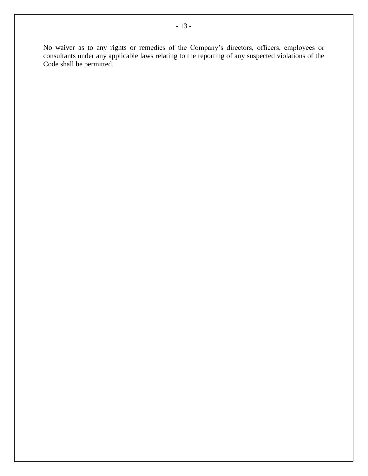No waiver as to any rights or remedies of the Company's directors, officers, employees or consultants under any applicable laws relating to the reporting of any suspected violations of the Code shall be permitted.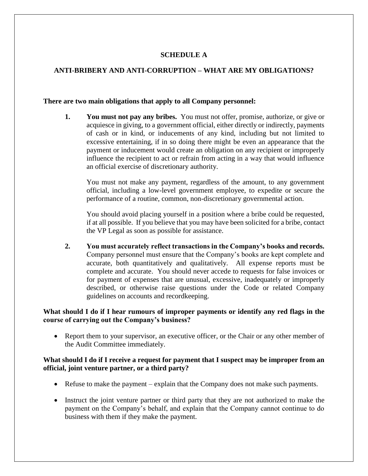# **SCHEDULE A**

### **ANTI-BRIBERY AND ANTI-CORRUPTION – WHAT ARE MY OBLIGATIONS?**

#### **There are two main obligations that apply to all Company personnel:**

**1. You must not pay any bribes.** You must not offer, promise, authorize, or give or acquiesce in giving, to a government official, either directly or indirectly, payments of cash or in kind, or inducements of any kind, including but not limited to excessive entertaining, if in so doing there might be even an appearance that the payment or inducement would create an obligation on any recipient or improperly influence the recipient to act or refrain from acting in a way that would influence an official exercise of discretionary authority.

You must not make any payment, regardless of the amount, to any government official, including a low-level government employee, to expedite or secure the performance of a routine, common, non-discretionary governmental action.

You should avoid placing yourself in a position where a bribe could be requested, if at all possible. If you believe that you may have been solicited for a bribe, contact the VP Legal as soon as possible for assistance.

**2. You must accurately reflect transactions in the Company's books and records.**  Company personnel must ensure that the Company's books are kept complete and accurate, both quantitatively and qualitatively. All expense reports must be complete and accurate. You should never accede to requests for false invoices or for payment of expenses that are unusual, excessive, inadequately or improperly described, or otherwise raise questions under the Code or related Company guidelines on accounts and recordkeeping.

### **What should I do if I hear rumours of improper payments or identify any red flags in the course of carrying out the Company's business?**

• Report them to your supervisor, an executive officer, or the Chair or any other member of the Audit Committee immediately.

### **What should I do if I receive a request for payment that I suspect may be improper from an official, joint venture partner, or a third party?**

- Refuse to make the payment explain that the Company does not make such payments.
- Instruct the joint venture partner or third party that they are not authorized to make the payment on the Company's behalf, and explain that the Company cannot continue to do business with them if they make the payment.